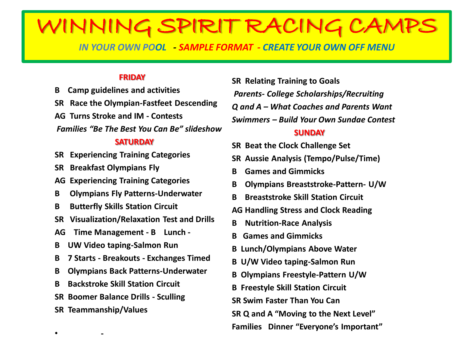# WINNING SPIRIT RACING CA

*IN YOUR OWN POOL - SAMPLE FORMAT - CREATE YOUR OWN OFF MENU*

### **FRIDAY**

**B Camp guidelines and activities SR Race the Olympian-Fastfeet Descending AG Turns Stroke and IM - Contests**

*Families "Be The Best You Can Be" slideshow*

### **SATURDAY**

- **SR Experiencing Training Categories**
- **SR Breakfast Olympians Fly**
- **AG Experiencing Training Categories**
- **B Olympians Fly Patterns-Underwater**
- **B Butterfly Skills Station Circuit**
- **SR Visualization/Relaxation Test and Drills**
- **AG Time Management - B Lunch -**
- **B UW Video taping-Salmon Run**
- **B 7 Starts - Breakouts - Exchanges Timed**
- **B Olympians Back Patterns-Underwater**
- **B Backstroke Skill Station Circuit**
- **SR Boomer Balance Drills - Sculling**
- **SR Teammanship/Values**

• **-**

**SR Relating Training to Goals** *Parents- College Scholarships/Recruiting Q and A – What Coaches and Parents Want Swimmers – Build Your Own Sundae Contest*

### **SUNDAY**

- **SR Beat the Clock Challenge Set**
- **SR Aussie Analysis (Tempo/Pulse/Time)**
- **B Games and Gimmicks**
- **B Olympians Breaststroke-Pattern- U/W**
- **B Breaststroke Skill Station Circuit**
- **AG Handling Stress and Clock Reading**
- **B Nutrition-Race Analysis**
- **B Games and Gimmicks**
- **B Lunch/Olympians Above Water**
- **B U/W Video taping-Salmon Run**
- **B Olympians Freestyle-Pattern U/W**
- **B Freestyle Skill Station Circuit**
- **SR Swim Faster Than You Can**
- **SR Q and A "Moving to the Next Level"**

**Families Dinner "Everyone's Important"**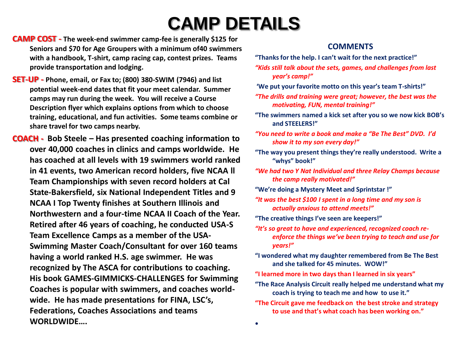# **CAMP DETAILS**

•

- **CAMP COST - The week-end swimmer camp-fee is generally \$125 for Seniors and \$70 for Age Groupers with a minimum of40 swimmers with a handbook, T-shirt, camp racing cap, contest prizes. Teams provide transportation and lodging.**
- **SET-UP - Phone, email, or Fax to; (800) 380-SWIM (7946) and list potential week-end dates that fit your meet calendar. Summer camps may run during the week. You will receive a Course Description flyer which explains options from which to choose training, educational, and fun activities. Some teams combine or share travel for two camps nearby.**
- **COACH - Bob Steele – Has presented coaching information to over 40,000 coaches in clinics and camps worldwide. He has coached at all levels with 19 swimmers world ranked in 41 events, two American record holders, five NCAA ll Team Championships with seven record holders at Cal State-Bakersfield, six National Independent Titles and 9 NCAA I Top Twenty finishes at Southern Illinois and Northwestern and a four-time NCAA II Coach of the Year. Retired after 46 years of coaching, he conducted USA-S Team Excellence Camps as a member of the USA-Swimming Master Coach/Consultant for over 160 teams having a world ranked H.S. age swimmer. He was recognized by The ASCA for contributions to coaching. His book GAMES-GIMMICKS-CHALLENGES for Swimming Coaches is popular with swimmers, and coaches worldwide. He has made presentations for FINA, LSC's, Federations, Coaches Associations and teams WORLDWIDE….**

### **COMMENTS**

- **"Thanks for the help. I can't wait for the next practice!"**
- *"Kids still talk about the sets, games, and challenges from last year's camp!"*
- **'We put your favorite motto on this year's team T-shirts!"**
- *"The drills and training were great; however, the best was the motivating, FUN, mental training!"*
- **"The swimmers named a kick set after you so we now kick BOB's and STEELERS!"**
- *"You need to write a book and make a "Be The Best" DVD. I'd show it to my son every day!"*
- **"The way you present things they're really understood. Write a "whys" book!"**
- *"We had two Y Nat Individual and three Relay Champs because the camp really motivated!"*
- **"We're doing a Mystery Meet and Sprintstar !"**
- *"It was the best \$100 I spent in a long time and my son is actually anxious to attend meets!"*
- **"The creative things I've seen are keepers!"**
- *"It's so great to have and experienced, recognized coach reenforce the things we've been trying to teach and use for years!"*
- **"I wondered what my daughter remembered from Be The Best and she talked for 45 minutes. WOW!"**
- **"I learned more in two days than I learned in six years"**
- **"The Race Analysis Circuit really helped me understand what my coach is trying to teach me and how to use it."**
- **"The Circuit gave me feedback on the best stroke and strategy to use and that's what coach has been working on."**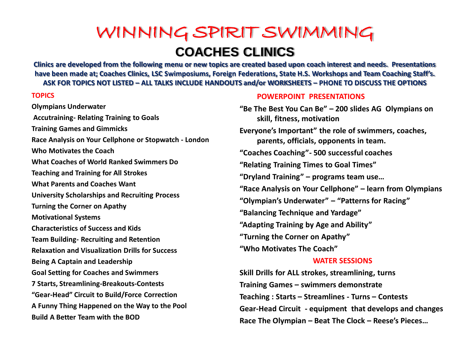## WINNING SPIRIT SWIMMING **COACHES CLINICS**

**Clinics are developed from the following menu or new topics are created based upon coach interest and needs. Presentations have been made at; Coaches Clinics, LSC Swimposiums, Foreign Federations, State H.S. Workshops and Team Coaching Staff's. ASK FOR TOPICS NOT LISTED – ALL TALKS INCLUDE HANDOUTS and/or WORKSHEETS – PHONE TO DISCUSS THE OPTIONS** 

#### **TOPICS**

**Olympians Underwater Accutraining- Relating Training to Goals Training Games and Gimmicks Race Analysis on Your Cellphone or Stopwatch - London Who Motivates the Coach What Coaches of World Ranked Swimmers Do Teaching and Training for All Strokes What Parents and Coaches Want University Scholarships and Recruiting Process Turning the Corner on Apathy Motivational Systems Characteristics of Success and Kids Team Building- Recruiting and Retention Relaxation and Visualization Drills for Success Being A Captain and Leadership Goal Setting for Coaches and Swimmers 7 Starts, Streamlining-Breakouts-Contests "Gear-Head" Circuit to Build/Force Correction A Funny Thing Happened on the Way to the Pool Build A Better Team with the BOD** 

### **POWERPOINT PRESENTATIONS**

**"Be The Best You Can Be" – 200 slides AG Olympians on skill, fitness, motivation Everyone's Important" the role of swimmers, coaches, parents, officials, opponents in team. "Coaches Coaching"- 500 successful coaches "Relating Training Times to Goal Times" "Dryland Training" – programs team use… "Race Analysis on Your Cellphone" – learn from Olympians "Olympian's Underwater" – "Patterns for Racing" "Balancing Technique and Yardage" "Adapting Training by Age and Ability" "Turning the Corner on Apathy" "Who Motivates The Coach"**

### **WATER SESSIONS**

**Skill Drills for ALL strokes, streamlining, turns Training Games – swimmers demonstrate Teaching : Starts – Streamlines - Turns – Contests Gear-Head Circuit - equipment that develops and changes Race The Olympian – Beat The Clock – Reese's Pieces…**